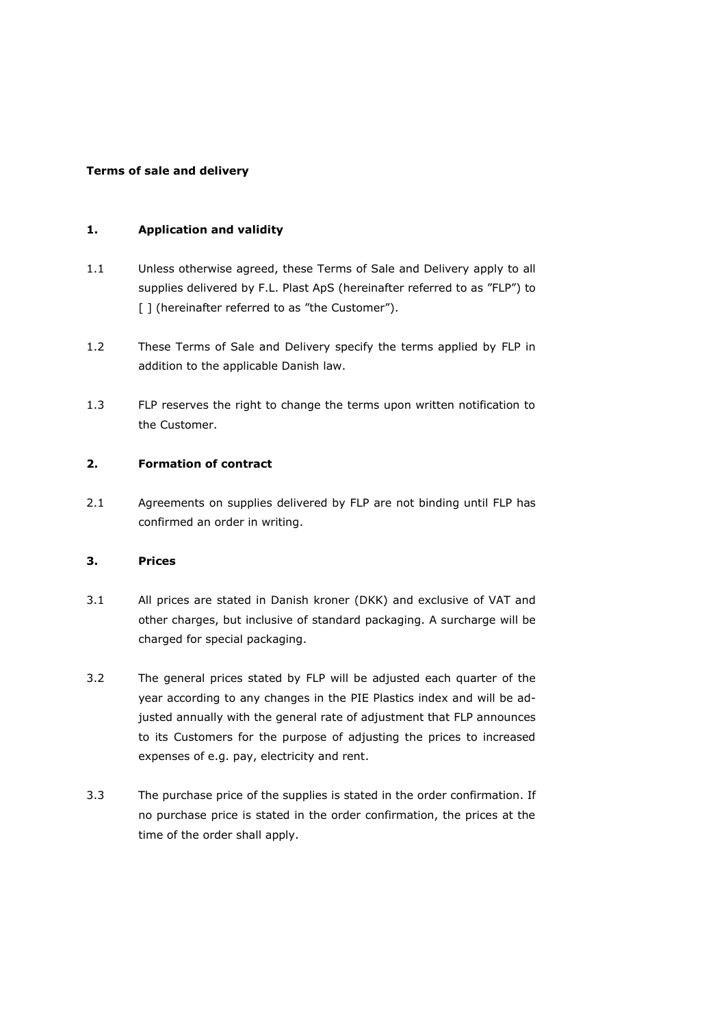#### **Terms of sale and delivery**

#### **1. Application and validity**

- 1.1 Unless otherwise agreed, these Terms of Sale and Delivery apply to all supplies delivered by F.L. Plast ApS (hereinafter referred to as "FLP") to [] (hereinafter referred to as "the Customer").
- 1.2 These Terms of Sale and Delivery specify the terms applied by FLP in addition to the applicable Danish law.
- 1.3 FLP reserves the right to change the terms upon written notification to the Customer.

# **2. Formation of contract**

2.1 Agreements on supplies delivered by FLP are not binding until FLP has confirmed an order in writing.

#### **3. Prices**

- 3.1 All prices are stated in Danish kroner (DKK) and exclusive of VAT and other charges, but inclusive of standard packaging. A surcharge will be charged for special packaging.
- 3.2 The general prices stated by FLP will be adjusted each quarter of the year according to any changes in the PIE Plastics index and will be adjusted annually with the general rate of adjustment that FLP announces to its Customers for the purpose of adjusting the prices to increased expenses of e.g. pay, electricity and rent.
- 3.3 The purchase price of the supplies is stated in the order confirmation. If no purchase price is stated in the order confirmation, the prices at the time of the order shall apply.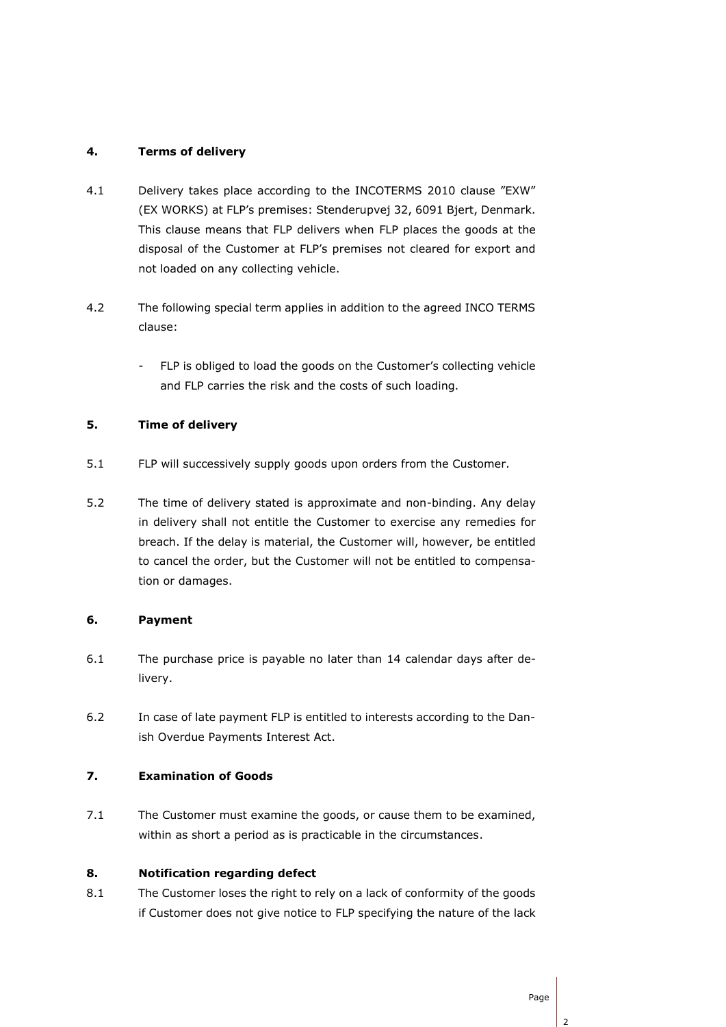# **4. Terms of delivery**

- 4.1 Delivery takes place according to the INCOTERMS 2010 clause "EXW" (EX WORKS) at FLP's premises: Stenderupvej 32, 6091 Bjert, Denmark. This clause means that FLP delivers when FLP places the goods at the disposal of the Customer at FLP's premises not cleared for export and not loaded on any collecting vehicle.
- 4.2 The following special term applies in addition to the agreed INCO TERMS clause:
	- FLP is obliged to load the goods on the Customer's collecting vehicle and FLP carries the risk and the costs of such loading.

# **5. Time of delivery**

- 5.1 FLP will successively supply goods upon orders from the Customer.
- 5.2 The time of delivery stated is approximate and non-binding. Any delay in delivery shall not entitle the Customer to exercise any remedies for breach. If the delay is material, the Customer will, however, be entitled to cancel the order, but the Customer will not be entitled to compensation or damages.

### **6. Payment**

- 6.1 The purchase price is payable no later than 14 calendar days after delivery.
- 6.2 In case of late payment FLP is entitled to interests according to the Danish Overdue Payments Interest Act.

### **7. Examination of Goods**

7.1 The Customer must examine the goods, or cause them to be examined, within as short a period as is practicable in the circumstances.

# **8. Notification regarding defect**

8.1 The Customer loses the right to rely on a lack of conformity of the goods if Customer does not give notice to FLP specifying the nature of the lack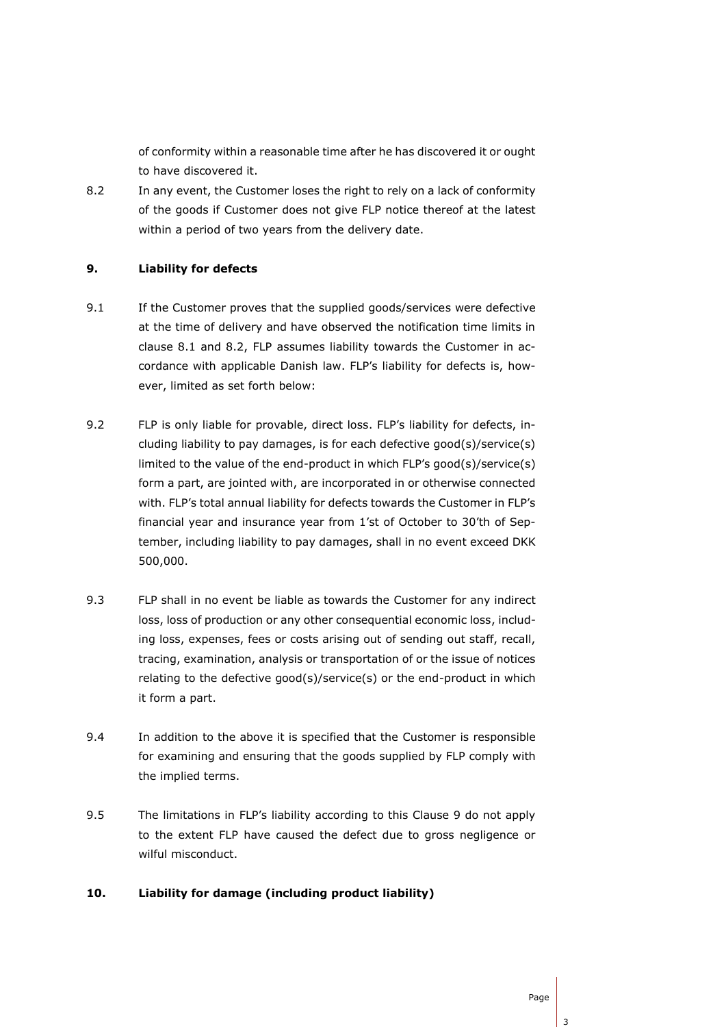of conformity within a reasonable time after he has discovered it or ought to have discovered it.

8.2 In any event, the Customer loses the right to rely on a lack of conformity of the goods if Customer does not give FLP notice thereof at the latest within a period of two years from the delivery date.

#### **9. Liability for defects**

- 9.1 If the Customer proves that the supplied goods/services were defective at the time of delivery and have observed the notification time limits in clause 8.1 and 8.2, FLP assumes liability towards the Customer in accordance with applicable Danish law. FLP's liability for defects is, however, limited as set forth below:
- 9.2 FLP is only liable for provable, direct loss. FLP's liability for defects, including liability to pay damages, is for each defective good(s)/service(s) limited to the value of the end-product in which FLP's good(s)/service(s) form a part, are jointed with, are incorporated in or otherwise connected with. FLP's total annual liability for defects towards the Customer in FLP's financial year and insurance year from 1'st of October to 30'th of September, including liability to pay damages, shall in no event exceed DKK 500,000.
- 9.3 FLP shall in no event be liable as towards the Customer for any indirect loss, loss of production or any other consequential economic loss, including loss, expenses, fees or costs arising out of sending out staff, recall, tracing, examination, analysis or transportation of or the issue of notices relating to the defective good(s)/service(s) or the end-product in which it form a part.
- 9.4 In addition to the above it is specified that the Customer is responsible for examining and ensuring that the goods supplied by FLP comply with the implied terms.
- 9.5 The limitations in FLP's liability according to this Clause 9 do not apply to the extent FLP have caused the defect due to gross negligence or wilful misconduct.

### **10. Liability for damage (including product liability)**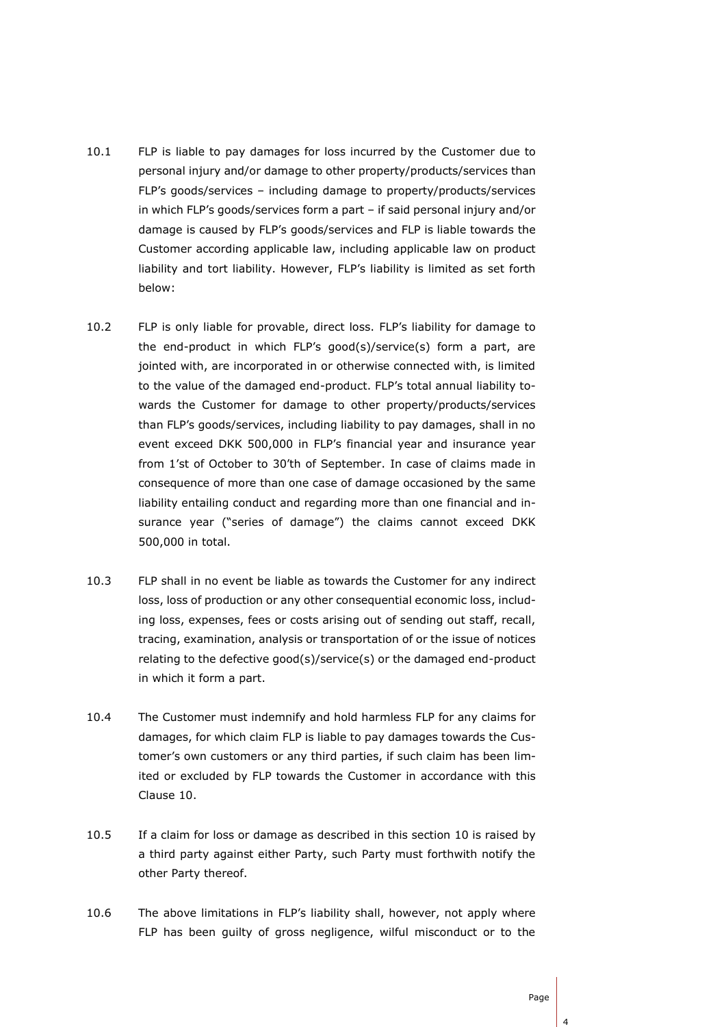- 10.1 FLP is liable to pay damages for loss incurred by the Customer due to personal injury and/or damage to other property/products/services than FLP's goods/services – including damage to property/products/services in which FLP's goods/services form a part – if said personal injury and/or damage is caused by FLP's goods/services and FLP is liable towards the Customer according applicable law, including applicable law on product liability and tort liability. However, FLP's liability is limited as set forth below:
- 10.2 FLP is only liable for provable, direct loss. FLP's liability for damage to the end-product in which FLP's good(s)/service(s) form a part, are jointed with, are incorporated in or otherwise connected with, is limited to the value of the damaged end-product. FLP's total annual liability towards the Customer for damage to other property/products/services than FLP's goods/services, including liability to pay damages, shall in no event exceed DKK 500,000 in FLP's financial year and insurance year from 1'st of October to 30'th of September. In case of claims made in consequence of more than one case of damage occasioned by the same liability entailing conduct and regarding more than one financial and insurance year ("series of damage") the claims cannot exceed DKK 500,000 in total.
- 10.3 FLP shall in no event be liable as towards the Customer for any indirect loss, loss of production or any other consequential economic loss, including loss, expenses, fees or costs arising out of sending out staff, recall, tracing, examination, analysis or transportation of or the issue of notices relating to the defective good(s)/service(s) or the damaged end-product in which it form a part.
- 10.4 The Customer must indemnify and hold harmless FLP for any claims for damages, for which claim FLP is liable to pay damages towards the Customer's own customers or any third parties, if such claim has been limited or excluded by FLP towards the Customer in accordance with this Clause 10.
- 10.5 If a claim for loss or damage as described in this section 10 is raised by a third party against either Party, such Party must forthwith notify the other Party thereof.
- 10.6 The above limitations in FLP's liability shall, however, not apply where FLP has been guilty of gross negligence, wilful misconduct or to the